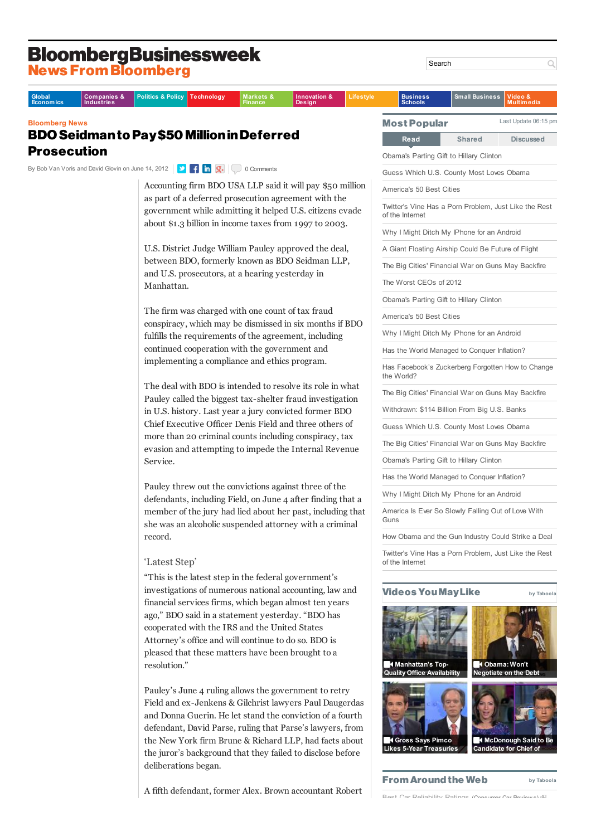# **BloombergBusinessweek**

Search

| Rinni i Manamicssii Annu<br><b>News From Bloomberg</b>       |                                                                                                                                                                                                                                                                                                                                                                                            |                                                                                                                                                                                                                                                                                                                                                                                                              | Q<br>Search                                                                            |                                                                                                                                                                                                                                         |                                                                |  |
|--------------------------------------------------------------|--------------------------------------------------------------------------------------------------------------------------------------------------------------------------------------------------------------------------------------------------------------------------------------------------------------------------------------------------------------------------------------------|--------------------------------------------------------------------------------------------------------------------------------------------------------------------------------------------------------------------------------------------------------------------------------------------------------------------------------------------------------------------------------------------------------------|----------------------------------------------------------------------------------------|-----------------------------------------------------------------------------------------------------------------------------------------------------------------------------------------------------------------------------------------|----------------------------------------------------------------|--|
| Global<br>Economics<br><b>Companies &amp;<br/>Industries</b> | <b>Politics &amp; Policy</b><br>Markets &<br>Finance<br><b>Technology</b>                                                                                                                                                                                                                                                                                                                  | Lifestyle<br><b>Innovation &amp;</b><br>Design                                                                                                                                                                                                                                                                                                                                                               | <b>Business</b><br>Schools                                                             | <b>Small Business</b>                                                                                                                                                                                                                   | Video &<br>Multimedia                                          |  |
| <b>Bloomberg News</b>                                        |                                                                                                                                                                                                                                                                                                                                                                                            |                                                                                                                                                                                                                                                                                                                                                                                                              | <b>Most Popular</b>                                                                    |                                                                                                                                                                                                                                         | Last Update 06:15 pm                                           |  |
|                                                              | <b>BDO Seidmanto Pay \$50 Million in Deferred</b>                                                                                                                                                                                                                                                                                                                                          |                                                                                                                                                                                                                                                                                                                                                                                                              | <b>Read</b>                                                                            | <b>Shared</b>                                                                                                                                                                                                                           | <b>Discussed</b>                                               |  |
| <b>Prosecution</b>                                           |                                                                                                                                                                                                                                                                                                                                                                                            |                                                                                                                                                                                                                                                                                                                                                                                                              | Obama's Parting Gift to Hillary Clinton                                                |                                                                                                                                                                                                                                         |                                                                |  |
| 0 Comments                                                   |                                                                                                                                                                                                                                                                                                                                                                                            |                                                                                                                                                                                                                                                                                                                                                                                                              | Guess Which U.S. County Most Loves Obama                                               |                                                                                                                                                                                                                                         |                                                                |  |
|                                                              |                                                                                                                                                                                                                                                                                                                                                                                            | Accounting firm BDO USA LLP said it will pay \$50 million                                                                                                                                                                                                                                                                                                                                                    |                                                                                        | America's 50 Best Cities                                                                                                                                                                                                                |                                                                |  |
|                                                              | as part of a deferred prosecution agreement with the<br>government while admitting it helped U.S. citizens evade                                                                                                                                                                                                                                                                           |                                                                                                                                                                                                                                                                                                                                                                                                              | Twitter's Vine Has a Porn Problem, Just Like the Rest<br>of the Internet               |                                                                                                                                                                                                                                         |                                                                |  |
|                                                              | about \$1.3 billion in income taxes from 1997 to 2003.                                                                                                                                                                                                                                                                                                                                     |                                                                                                                                                                                                                                                                                                                                                                                                              | Why I Might Ditch My IPhone for an Android                                             |                                                                                                                                                                                                                                         |                                                                |  |
|                                                              |                                                                                                                                                                                                                                                                                                                                                                                            | U.S. District Judge William Pauley approved the deal,                                                                                                                                                                                                                                                                                                                                                        | A Giant Floating Airship Could Be Future of Flight                                     |                                                                                                                                                                                                                                         |                                                                |  |
|                                                              |                                                                                                                                                                                                                                                                                                                                                                                            | between BDO, formerly known as BDO Seidman LLP,<br>and U.S. prosecutors, at a hearing yesterday in                                                                                                                                                                                                                                                                                                           |                                                                                        | The Big Cities' Financial War on Guns May Backfire                                                                                                                                                                                      |                                                                |  |
|                                                              |                                                                                                                                                                                                                                                                                                                                                                                            |                                                                                                                                                                                                                                                                                                                                                                                                              |                                                                                        | The Worst CEOs of 2012                                                                                                                                                                                                                  |                                                                |  |
|                                                              | Manhattan.                                                                                                                                                                                                                                                                                                                                                                                 |                                                                                                                                                                                                                                                                                                                                                                                                              |                                                                                        |                                                                                                                                                                                                                                         |                                                                |  |
|                                                              | The firm was charged with one count of tax fraud                                                                                                                                                                                                                                                                                                                                           | Obama's Parting Gift to Hillary Clinton                                                                                                                                                                                                                                                                                                                                                                      |                                                                                        |                                                                                                                                                                                                                                         |                                                                |  |
|                                                              |                                                                                                                                                                                                                                                                                                                                                                                            | conspiracy, which may be dismissed in six months if BDO<br>fulfills the requirements of the agreement, including<br>continued cooperation with the government and                                                                                                                                                                                                                                            |                                                                                        | America's 50 Best Cities                                                                                                                                                                                                                |                                                                |  |
|                                                              |                                                                                                                                                                                                                                                                                                                                                                                            |                                                                                                                                                                                                                                                                                                                                                                                                              |                                                                                        | Why I Might Ditch My IPhone for an Android                                                                                                                                                                                              |                                                                |  |
|                                                              |                                                                                                                                                                                                                                                                                                                                                                                            |                                                                                                                                                                                                                                                                                                                                                                                                              |                                                                                        | Has the World Managed to Conquer Inflation?                                                                                                                                                                                             |                                                                |  |
|                                                              | implementing a compliance and ethics program.<br>The deal with BDO is intended to resolve its role in what                                                                                                                                                                                                                                                                                 | Has Facebook's Zuckerberg Forgotten How to Change<br>the World?                                                                                                                                                                                                                                                                                                                                              |                                                                                        |                                                                                                                                                                                                                                         |                                                                |  |
|                                                              | Pauley called the biggest tax-shelter fraud investigation                                                                                                                                                                                                                                                                                                                                  |                                                                                                                                                                                                                                                                                                                                                                                                              | The Big Cities' Financial War on Guns May Backfire                                     |                                                                                                                                                                                                                                         |                                                                |  |
|                                                              | in U.S. history. Last year a jury convicted former BDO<br>Chief Executive Officer Denis Field and three others of                                                                                                                                                                                                                                                                          |                                                                                                                                                                                                                                                                                                                                                                                                              | Withdrawn: \$114 Billion From Big U.S. Banks                                           |                                                                                                                                                                                                                                         |                                                                |  |
|                                                              |                                                                                                                                                                                                                                                                                                                                                                                            |                                                                                                                                                                                                                                                                                                                                                                                                              | Guess Which U.S. County Most Loves Obama                                               |                                                                                                                                                                                                                                         |                                                                |  |
|                                                              | more than 20 criminal counts including conspiracy, tax                                                                                                                                                                                                                                                                                                                                     |                                                                                                                                                                                                                                                                                                                                                                                                              | The Big Cities' Financial War on Guns May Backfire                                     |                                                                                                                                                                                                                                         |                                                                |  |
|                                                              | evasion and attempting to impede the Internal Revenue                                                                                                                                                                                                                                                                                                                                      |                                                                                                                                                                                                                                                                                                                                                                                                              | Obama's Parting Gift to Hillary Clinton<br>Has the World Managed to Conquer Inflation? |                                                                                                                                                                                                                                         |                                                                |  |
|                                                              | Service.                                                                                                                                                                                                                                                                                                                                                                                   |                                                                                                                                                                                                                                                                                                                                                                                                              |                                                                                        |                                                                                                                                                                                                                                         |                                                                |  |
|                                                              | Pauley threw out the convictions against three of the                                                                                                                                                                                                                                                                                                                                      |                                                                                                                                                                                                                                                                                                                                                                                                              |                                                                                        |                                                                                                                                                                                                                                         |                                                                |  |
|                                                              | defendants, including Field, on June 4 after finding that a                                                                                                                                                                                                                                                                                                                                |                                                                                                                                                                                                                                                                                                                                                                                                              |                                                                                        | Why I Might Ditch My IPhone for an Android                                                                                                                                                                                              |                                                                |  |
|                                                              | member of the jury had lied about her past, including that<br>she was an alcoholic suspended attorney with a criminal                                                                                                                                                                                                                                                                      |                                                                                                                                                                                                                                                                                                                                                                                                              | America Is Ever So Slowly Falling Out of Love With<br>Guns                             |                                                                                                                                                                                                                                         |                                                                |  |
|                                                              | record.                                                                                                                                                                                                                                                                                                                                                                                    |                                                                                                                                                                                                                                                                                                                                                                                                              | How Obama and the Gun Industry Could Strike a Deal                                     |                                                                                                                                                                                                                                         |                                                                |  |
|                                                              | 'Latest Step'                                                                                                                                                                                                                                                                                                                                                                              | "This is the latest step in the federal government's<br>investigations of numerous national accounting, law and<br>financial services firms, which began almost ten years<br>ago," BDO said in a statement yesterday. "BDO has<br>cooperated with the IRS and the United States<br>Attorney's office and will continue to do so. BDO is<br>pleased that these matters have been brought to a<br>resolution." |                                                                                        | Twitter's Vine Has a Porn Problem, Just Like the Rest<br>of the Internet<br><b>Videos You May Like</b><br>by Taboola<br>Manhattan's Top-<br><b>K</b> Obama: Won't<br><b>Quality Office Availability</b><br><b>Negotiate on the Debt</b> |                                                                |  |
|                                                              |                                                                                                                                                                                                                                                                                                                                                                                            |                                                                                                                                                                                                                                                                                                                                                                                                              |                                                                                        |                                                                                                                                                                                                                                         |                                                                |  |
|                                                              | Pauley's June 4 ruling allows the government to retry<br>Field and ex-Jenkens & Gilchrist lawyers Paul Daugerdas<br>and Donna Guerin. He let stand the conviction of a fourth<br>defendant, David Parse, ruling that Parse's lawyers, from<br>the New York firm Brune & Richard LLP, had facts about<br>the juror's background that they failed to disclose before<br>deliberations began. |                                                                                                                                                                                                                                                                                                                                                                                                              | <b>Gross Says Pimco</b><br><b>Likes 5-Year Treasuries</b>                              |                                                                                                                                                                                                                                         | <b>K</b> McDonough Said to Be<br><b>Candidate for Chief of</b> |  |

A fifth defendant, former Alex. Brown accountant Robert

**From Around the Web by [Taboola](http://services.taboolasyndication.com/publisher/businessweek/rbox?item-id=/news/2012-06-13/bdo-seidman-to-pay-50-million-in-deferred-prosecution)** 

Roet Car Roliability Ratings (Consumer Car Deview s)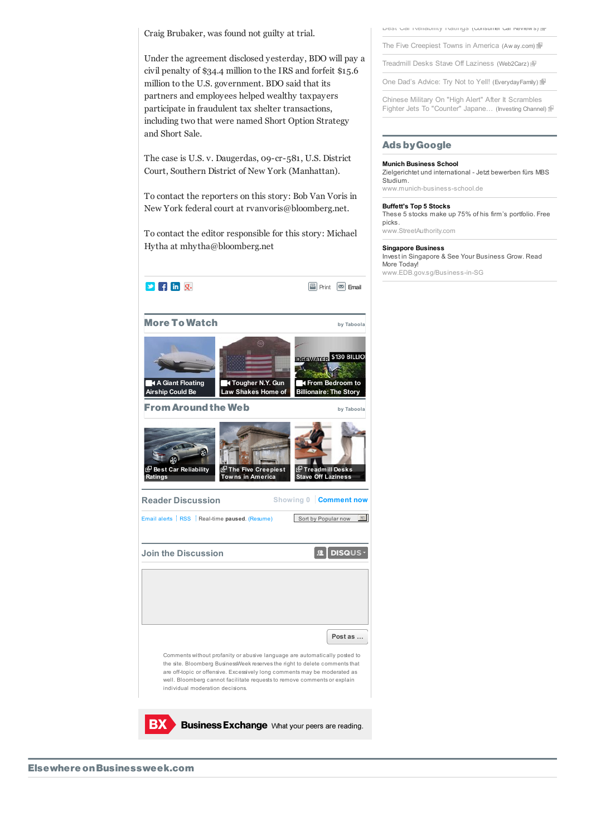Craig Brubaker, was found not guilty at trial.

Under the agreement disclosed yesterday, BDO will pay a civil penalty of \$34.4 million to the IRS and forfeit \$15.6 million to the U.S. government. BDO said that its partners and employees helped wealthy taxpayers participate in fraudulent tax shelter transactions, including two that were named Short Option Strategy and Short Sale.

The case is U.S. v. Daugerdas, 09-cr-581, U.S. District Court, Southern District of New York (Manhattan).

To contact the reporters on this story: Bob Van Voris in New York federal court at rvanvoris@bloomberg.net.

To contact the editor responsible for this story: Michael Hytha at mhytha@bloomberg.net



Best Car Reliability Ratings (Consumer Car Review s)

The Five Creepiest Towns in America (Aw ay.com)

Treadmill Desks Stave Off Laziness (Web2Carz)

One Dad's Advice: Try Not to Yell! (EverydayFamily) 图

Chinese Military On "High Alert" After It Scrambles Fighter Jets To "Counter" Japane... (Investing Channel) 图

### Ads [byGoogle](http://www.google.com/url?ct=abg&q=https://www.google.com/adsense/support/bin/request.py%3Fcontact%3Dabg_afc%26url%3Dhttp://www.businessweek.com/%26gl%3DDE%26hl%3Den%26client%3Dca-pub-6185772592614621%26ai0%3DCihmfdgoHUf7LL4ec_wbg_ICYA-iLi9gB4L283BTAjbcBEAEgusDEBygFULah4KcEYJXaiIKYB6ABrIqA_wPIAQGpApJvqdhOk7Y-qAMBqgRhT9A-qkZ9ct3RM1kKEbIke3JU2RKk4Z19NR-Fjy8q6zvlKKxkejLBZ0QEdX49uqx3dtZXbFYp9DXWiMWgD3j1fd2srMixU-dd01b-6Yy_G1O3zptT1VHn0rKga2Bgdue9fYAHvPV_%26ai1%3DCW9rMdgoHUf7LL4ec_wbg_ICYA5TruZ4DvJruskrAjbcBEAIgusDEBygFUPjQh9QBYJXaiIKYB6ABzNy32QPIAQGoAwGqBGhP0H71Kn1x3dEzWQoRsiR7clTZEqThnX01H4WPLyrrO-UorGR6MsFnRAR1fj26rHd21ldsVin0NdaIxaAPePV93aysyLFT513Tdv-dGoUzt0Fdn7vWG-fSkKBrJnVzeyM_Pu40SfAHFYAHnKPIJg%26ai2%3DCyqOddgoHUf7LL4ec_wbg_ICYA7KYhp4FmrqW6XHAjbcBEAMgusDEBygFUNzijCNgldqIgpgHyAEBqAMBqgRoT9BOh0J9cN3RM1kKEbIke3JU2RKk4Z19NR-Fjy8q6zvlKKxkejLBZ0QEdX49uqx3dtZXbFYp9DXWiMWgD3j1fd2srMixU-dd03b_20GJIrdBXZ-71hvn0pCgayZ1c3sjPz7uNDeOLgeAB_L4rzQ%26ai3%3DCrbGzdgoHUf7LL4ec_wbg_ICYA-a6tt0CzvHtpky_4R4QBCC6wMQHKAVQuoDhxPj_____AWCV2oiCmAegAZ7vgv8DyAEBqQKSb6nYTpO2PqgDAaoEbU_QHtI0fXfd0TNZChGyJHtyVNkSpOGdfTUfhY8vKus75SisZHoywWdEBHV-Pbqsd3bWV2xWKfQ11ojFoA949X3drKzIsVPnXdM-_3hKVRyXQBMAtvv_EUGUSGhsdXNZIz94-zG9QqQygxBKpIGAB8qQfQ%26ai4%3DCK5nHdgoHUf7LL4ec_wbg_ICYA4uhzJAD-9nAv0jAjbcBEAUgusDEBygFUJf5qPgGYJXaiIKYB6ABieHH8QPIAQGoAwGqBGtP0H7iRH123dEzWQoRsiR7clTZEqThnX01H4WPLyrrO-UorGR6MsFnRAR1fj26rHd21ldsVin0NdaIxaAPePV93aysyLFT513TPv94QlWznMXkcVBFEfrSnlVoYoBwHdY8Hg4ynaKi8fjN24AH3564Dg&usg=AFQjCNHw-ZUsByUABDOR18Lw1-aGnPbbiA)

#### **Munich [Business](http://googleads.g.doubleclick.net/aclk?sa=l&ai=CihmfdgoHUf7LL4ec_wbg_ICYA-iLi9gB4L283BTAjbcBEAEgusDEBygFULah4KcEYJXaiIKYB6ABrIqA_wPIAQGpApJvqdhOk7Y-qAMBqgRhT9A-qkZ9ct3RM1kKEbIke3JU2RKk4Z19NR-Fjy8q6zvlKKxkejLBZ0QEdX49uqx3dtZXbFYp9DXWiMWgD3j1fd2srMixU-dd01b-6Yy_G1O3zptT1VHn0rKga2Bgdue9fYAHvPV_&num=1&sig=AOD64_1qcH00dsKZ6L3brymlJUU5_eXXlA&client=ca-pub-6185772592614621&adurl=http://www.munich-business-school.de/index.php%3Fid%3D802) School**

Zielgerichtet und international - Jetzt bewerben fürs MBS Studium. [www.munich-business-school.de](http://googleads.g.doubleclick.net/aclk?sa=l&ai=CihmfdgoHUf7LL4ec_wbg_ICYA-iLi9gB4L283BTAjbcBEAEgusDEBygFULah4KcEYJXaiIKYB6ABrIqA_wPIAQGpApJvqdhOk7Y-qAMBqgRhT9A-qkZ9ct3RM1kKEbIke3JU2RKk4Z19NR-Fjy8q6zvlKKxkejLBZ0QEdX49uqx3dtZXbFYp9DXWiMWgD3j1fd2srMixU-dd01b-6Yy_G1O3zptT1VHn0rKga2Bgdue9fYAHvPV_&num=1&sig=AOD64_1qcH00dsKZ6L3brymlJUU5_eXXlA&client=ca-pub-6185772592614621&adurl=http://www.munich-business-school.de/index.php%3Fid%3D802)

**[Buffett's](http://googleads.g.doubleclick.net/aclk?sa=l&ai=CW9rMdgoHUf7LL4ec_wbg_ICYA5TruZ4DvJruskrAjbcBEAIgusDEBygFUPjQh9QBYJXaiIKYB6ABzNy32QPIAQGoAwGqBGhP0H71Kn1x3dEzWQoRsiR7clTZEqThnX01H4WPLyrrO-UorGR6MsFnRAR1fj26rHd21ldsVin0NdaIxaAPePV93aysyLFT513Tdv-dGoUzt0Fdn7vWG-fSkKBrJnVzeyM_Pu40SfAHFYAHnKPIJg&num=2&sig=AOD64_2SFlg-NJqK6MnCO6roWGIBeO7hqw&client=ca-pub-6185772592614621&adurl=http://web.streetauthority.com/land/sad/buffetts-top-5/land.asp%3Fref%3Dgaw) Top 5 Stocks**

These 5 stocks make up 75% of his firm's portfolio. Free picks. [www.StreetAuthority.com](http://googleads.g.doubleclick.net/aclk?sa=l&ai=CW9rMdgoHUf7LL4ec_wbg_ICYA5TruZ4DvJruskrAjbcBEAIgusDEBygFUPjQh9QBYJXaiIKYB6ABzNy32QPIAQGoAwGqBGhP0H71Kn1x3dEzWQoRsiR7clTZEqThnX01H4WPLyrrO-UorGR6MsFnRAR1fj26rHd21ldsVin0NdaIxaAPePV93aysyLFT513Tdv-dGoUzt0Fdn7vWG-fSkKBrJnVzeyM_Pu40SfAHFYAHnKPIJg&num=2&sig=AOD64_2SFlg-NJqK6MnCO6roWGIBeO7hqw&client=ca-pub-6185772592614621&adurl=http://web.streetauthority.com/land/sad/buffetts-top-5/land.asp%3Fref%3Dgaw)

#### **[Singapore](http://googleads.g.doubleclick.net/aclk?sa=L&ai=CyqOddgoHUf7LL4ec_wbg_ICYA7KYhp4FmrqW6XHAjbcBEAMgusDEBygFUNzijCNgldqIgpgHyAEBqAMBqgRoT9BOh0J9cN3RM1kKEbIke3JU2RKk4Z19NR-Fjy8q6zvlKKxkejLBZ0QEdX49uqx3dtZXbFYp9DXWiMWgD3j1fd2srMixU-dd03b_20GJIrdBXZ-71hvn0pCgayZ1c3sjPz7uNDeOLgeAB_L4rzQ&num=3&sig=AOD64_1bd0phENhpZgusGklgUSIouobiFQ&client=ca-pub-6185772592614621&adurl=http://www.edb.gov.sg/content/edb/en.html) Business**

Invest in Singapore & See Your Business Grow. Read More Today! [www.EDB.gov.sg/Business-in-SG](http://googleads.g.doubleclick.net/aclk?sa=L&ai=CyqOddgoHUf7LL4ec_wbg_ICYA7KYhp4FmrqW6XHAjbcBEAMgusDEBygFUNzijCNgldqIgpgHyAEBqAMBqgRoT9BOh0J9cN3RM1kKEbIke3JU2RKk4Z19NR-Fjy8q6zvlKKxkejLBZ0QEdX49uqx3dtZXbFYp9DXWiMWgD3j1fd2srMixU-dd03b_20GJIrdBXZ-71hvn0pCgayZ1c3sjPz7uNDeOLgeAB_L4rzQ&num=3&sig=AOD64_1bd0phENhpZgusGklgUSIouobiFQ&client=ca-pub-6185772592614621&adurl=http://www.edb.gov.sg/content/edb/en.html)